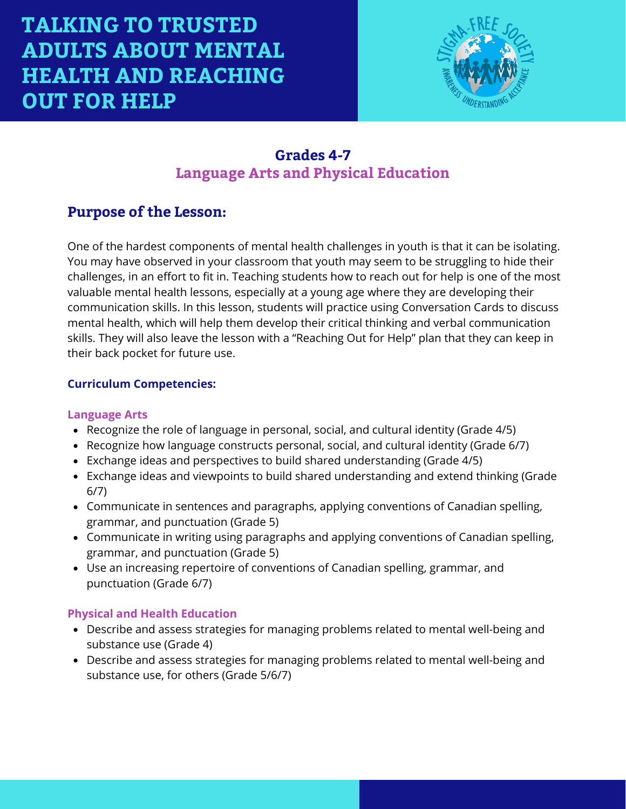

### **Grades 4-7 Language Arts and Physical Education**

### **Purpose of the Lesson:**

One of the hardest components of mental health challenges in youth is that it can be isolating. You may have observed in your classroom that youth may seem to be struggling to hide their challenges, in an effort to fit in. Teaching students how to reach out for help is one of the most valuable mental health lessons, especially at a young age where they are developing their communication skills. In this lesson, students will practice using Conversation Cards to discuss mental health, which will help them develop their critical thinking and verbal communication skills. They will also leave the lesson with a "Reaching Out for Help" plan that they can keep in their back pocket for future use.

#### **Curriculum Competencies:**

#### **Language Arts**

- Recognize the role of language in personal, social, and cultural identity (Grade 4/5)
- Recognize how language constructs personal, social, and cultural identity (Grade 6/7)
- Exchange ideas and perspectives to build shared understanding (Grade 4/5)
- Exchange ideas and viewpoints to build shared understanding and extend thinking (Grade 6/7)
- Communicate in sentences and paragraphs, applying conventions of Canadian spelling, grammar, and punctuation (Grade 5)
- Communicate in writing using paragraphs and applying conventions of Canadian spelling, grammar, and punctuation (Grade 5)
- Use an increasing repertoire of conventions of Canadian spelling, grammar, and punctuation (Grade 6/7)

#### **Physical and Health Education**

- Describe and assess strategies for managing problems related to mental well-being and substance use (Grade 4)
- Describe and assess strategies for managing problems related to mental well-being and substance use, for others (Grade 5/6/7)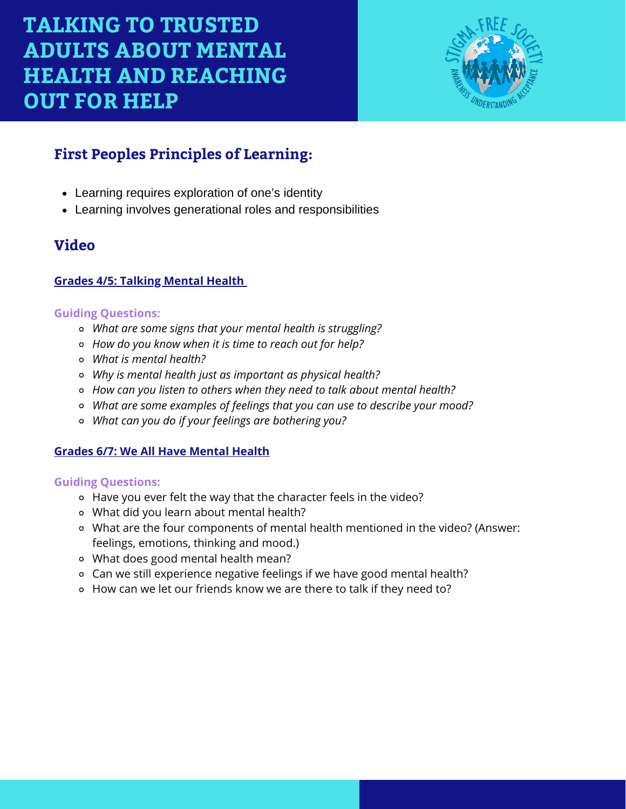

# **First Peoples Principles of Learning:**

- Learning requires exploration of one's identity
- Learning involves generational roles and responsibilities

### **Video**

#### **Grades 4/5: [Talking](https://www.youtube.com/watch?v=nCrjevx3-Js&feature=youtu.be) Mental Health**

#### **Guiding Questions:**

- *What are some signs that your mental health is struggling?*
- *How do you know when it is time to reach out for help?*
- *What is mental health?*
- *Why is mental health just as important as physical health?*
- *How can you listen to others when they need to talk about mental health?*
- *What are some examples of feelings that you can use to describe your mood?*
- *What can you do if your feelings are bothering you?*

#### **Grades 6/7: We All Have [Mental](https://www.youtube.com/watch?v=DxIDKZHW3-E&t=26s) Health**

#### **Guiding Questions:**

- Have you ever felt the way that the character feels in the video?
- What did you learn about mental health?
- What are the four components of mental health mentioned in the video? (Answer: feelings, emotions, thinking and mood.)
- What does good mental health mean?
- Can we still experience negative feelings if we have good mental health?
- How can we let our friends know we are there to talk if they need to?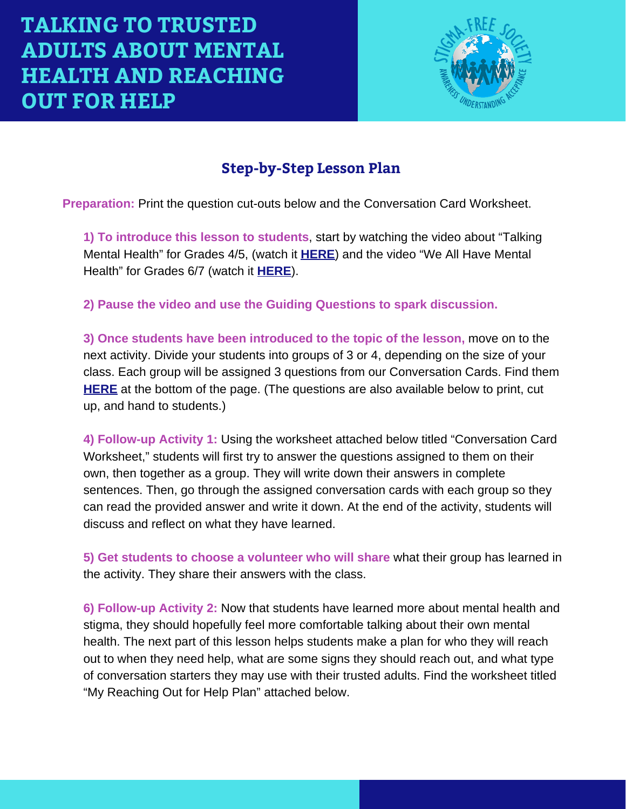

# **Step-by-Step Lesson Plan**

**Preparation:** Print the question cut-outs below and the Conversation Card Worksheet.

**1) To introduce this lesson to students**, start by watching the video about "Talking Mental Health" for Grades 4/5, (watch it **[HERE](https://youtu.be/nCrjevx3-Js)**) and the video "We All Have Mental Health" for Grades 6/7 (watch it **[HERE](https://www.youtube.com/watch?v=DxIDKZHW3-E&t=26s)**).

**2) Pause the video and use the Guiding Questions to spark discussion.**

**3) Once students have been introduced to the topic of the lesson,** move on to the next activity. Divide your students into groups of 3 or 4, depending on the size of your class. Each group will be assigned 3 questions from our Conversation Cards. Find them **[HERE](https://studentmentalhealthtoolkit.com/teens-corner/teens-activities/)** at the bottom of the page. (The questions are also available below to print, cut up, and hand to students.)

**4) Follow-up Activity 1:** Using the worksheet attached below titled "Conversation Card Worksheet," students will first try to answer the questions assigned to them on their own, then together as a group. They will write down their answers in complete sentences. Then, go through the assigned conversation cards with each group so they can read the provided answer and write it down. At the end of the activity, students will discuss and reflect on what they have learned.

**5) Get students to choose a volunteer who will share** what their group has learned in the activity. They share their answers with the class.

**6) Follow-up Activity 2:** Now that students have learned more about mental health and stigma, they should hopefully feel more comfortable talking about their own mental health. The next part of this lesson helps students make a plan for who they will reach out to when they need help, what are some signs they should reach out, and what type of conversation starters they may use with their trusted adults. Find the worksheet titled "My Reaching Out for Help Plan" attached below.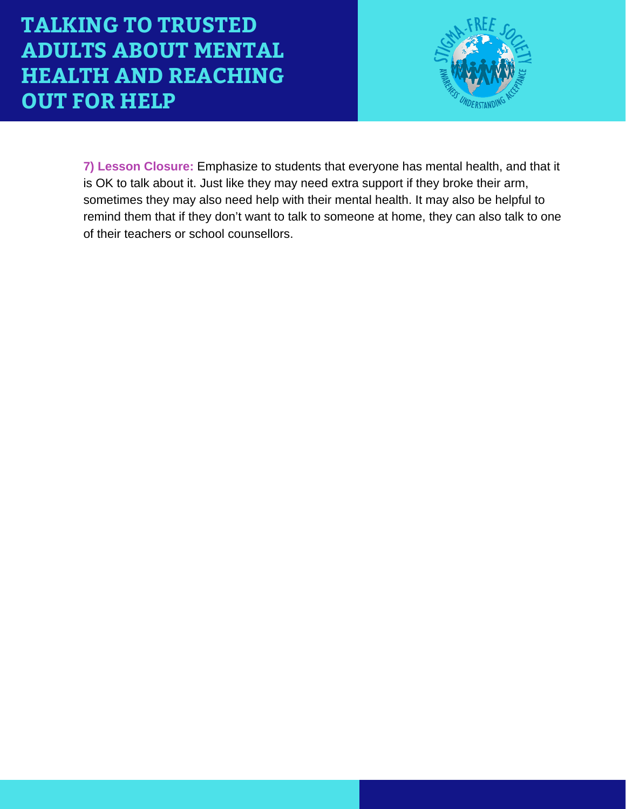

**7) Lesson Closure:** Emphasize to students that everyone has mental health, and that it is OK to talk about it. Just like they may need extra support if they broke their arm, sometimes they may also need help with their mental health. It may also be helpful to remind them that if they don't want to talk to someone at home, they can also talk to one of their teachers or school counsellors.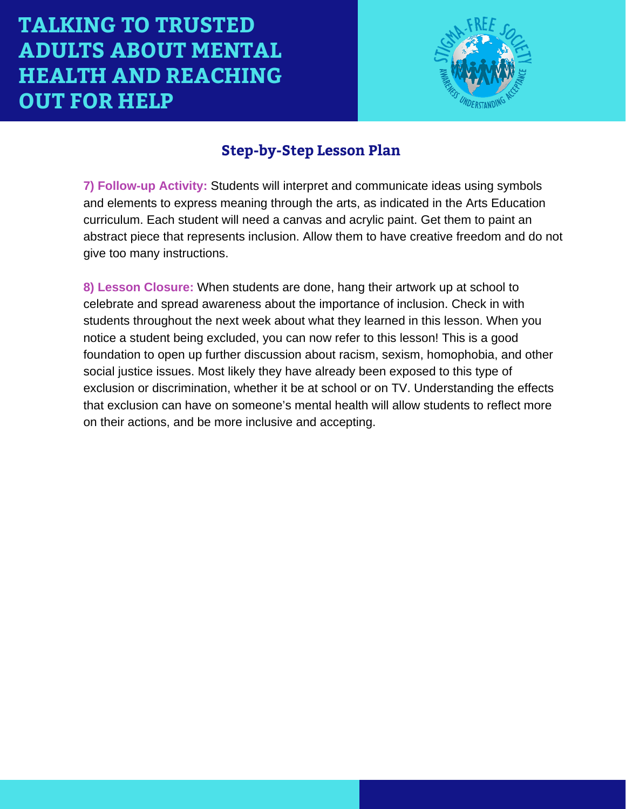

### **Step-by-Step Lesson Plan**

**7) Follow-up Activity:** Students will interpret and communicate ideas using symbols and elements to express meaning through the arts, as indicated in the Arts Education curriculum. Each student will need a canvas and acrylic paint. Get them to paint an abstract piece that represents inclusion. Allow them to have creative freedom and do not give too many instructions.

**8) Lesson Closure:** When students are done, hang their artwork up at school to celebrate and spread awareness about the importance of inclusion. Check in with students throughout the next week about what they learned in this lesson. When you notice a student being excluded, you can now refer to this lesson! This is a good foundation to open up further discussion about racism, sexism, homophobia, and other social justice issues. Most likely they have already been exposed to this type of exclusion or discrimination, whether it be at school or on TV. Understanding the effects that exclusion can have on someone's mental health will allow students to reflect more on their actions, and be more inclusive and accepting.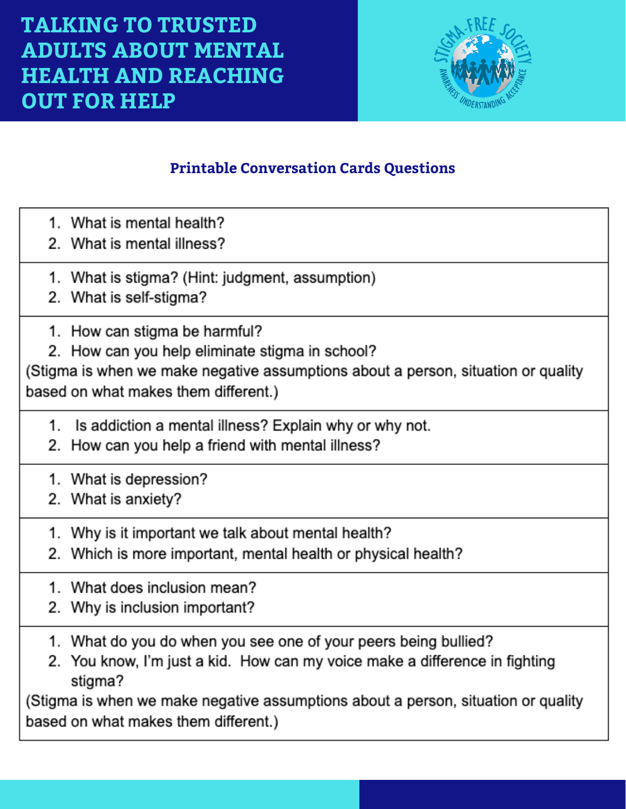

# **Printable Conversation Cards Questions**

- 1. What is mental health?
- 2 What is mental illness?
- 1. What is stigma? (Hint: judgment, assumption)
- 2. What is self-stigma?
- 1. How can stigma be harmful?
- 2. How can you help eliminate stigma in school?

(Stigma is when we make negative assumptions about a person, situation or quality based on what makes them different.)

- 1. Is addiction a mental illness? Explain why or why not.
- 2. How can you help a friend with mental illness?
- 1. What is depression?
- 2. What is anxiety?
- 1. Why is it important we talk about mental health?
- 2. Which is more important, mental health or physical health?
- 1. What does inclusion mean?
- 2. Why is inclusion important?
- 1. What do you do when you see one of your peers being bullied?
- 2. You know, I'm just a kid. How can my voice make a difference in fighting stigma?

(Stigma is when we make negative assumptions about a person, situation or quality based on what makes them different.)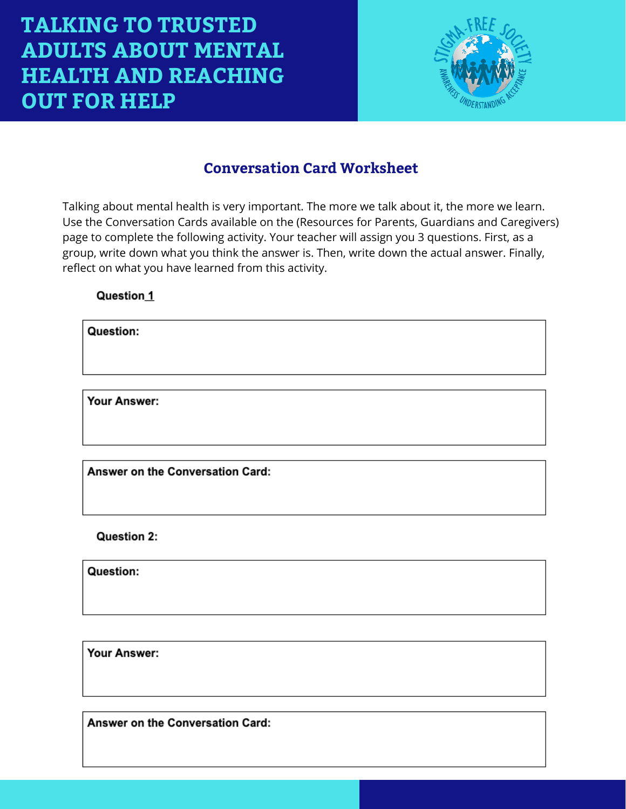

## **Conversation Card Worksheet**

Talking about mental health is very important. The more we talk about it, the more we learn. Use the Conversation Cards available on the (Resources for Parents, Guardians and Caregivers) page to complete the following activity. Your teacher will assign you 3 questions. First, as a group, write down what you think the answer is. Then, write down the actual answer. Finally, reflect on what you have learned from this activity.

#### Question 1

Question:

Your Answer:

Answer on the Conversation Card:

Question 2:

Question:

Your Answer:

Answer on the Conversation Card: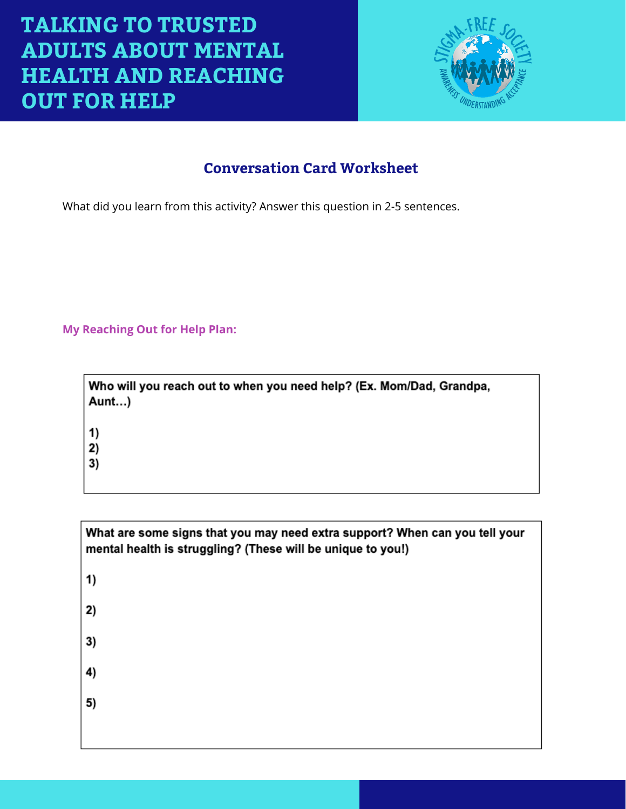

# **Conversation Card Worksheet**

What did you learn from this activity? Answer this question in 2-5 sentences.

#### **My Reaching Out for Help Plan:**

| Who will you reach out to when you need help? (Ex. Mom/Dad, Grandpa,<br>Aunt) |
|-------------------------------------------------------------------------------|
| 1)<br>2)<br>3)                                                                |

| What are some signs that you may need extra support? When can you tell your<br>mental health is struggling? (These will be unique to you!) |
|--------------------------------------------------------------------------------------------------------------------------------------------|
| 1)                                                                                                                                         |
| 2)                                                                                                                                         |
| 3)                                                                                                                                         |
| 4)                                                                                                                                         |
| 5)                                                                                                                                         |
|                                                                                                                                            |